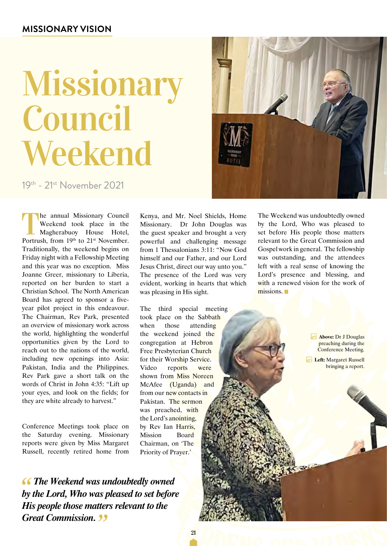### **Missionary Vision**

# Missionary Council Weekend

19th - 21st November 2021

The annual Missionary Council<br>Weekend took place in the<br>Magherabuoy House Hotel,<br>Portrush from 10th to 21<sup>st</sup> November Weekend took place in the Magherabuoy House Hotel, Portrush, from 19th to 21<sup>st</sup> November. Traditionally, the weekend begins on Friday night with a Fellowship Meeting and this year was no exception. Miss Joanne Greer, missionary to Liberia, reported on her burden to start a Christian School. The North American Board has agreed to sponsor a fiveyear pilot project in this endeavour. The Chairman, Rev Park, presented an overview of missionary work across the world, highlighting the wonderful opportunities given by the Lord to reach out to the nations of the world, including new openings into Asia: Pakistan, India and the Philippines. Rev Park gave a short talk on the words of Christ in John 4:35: "Lift up your eyes, and look on the fields; for they are white already to harvest."

Conference Meetings took place on the Saturday evening. Missionary reports were given by Miss Margaret Russell, recently retired home from

 *The Weekend was undoubtedly owned by the Lord, Who was pleased to set before His people those matters relevant to the Great Commission.* 

Kenya, and Mr. Noel Shields, Home Missionary. Dr John Douglas was the guest speaker and brought a very powerful and challenging message from 1 Thessalonians 3:11: "Now God himself and our Father, and our Lord Jesus Christ, direct our way unto you." The presence of the Lord was very evident, working in hearts that which was pleasing in His sight.

The third special meeting took place on the Sabbath when those attending the weekend joined the congregation at Hebron Free Presbyterian Church for their Worship Service. Video reports were shown from Miss Noreen McAfee (Uganda) and from our new contacts in Pakistan. The sermon was preached, with the Lord's anointing, by Rev Ian Harris, Mission Board Chairman, on 'The Priority of Prayer.'

The Weekend was undoubtedly owned by the Lord, Who was pleased to set before His people those matters relevant to the Great Commission and Gospel work in general. The fellowship was outstanding, and the attendees left with a real sense of knowing the Lord's presence and blessing, and with a renewed vision for the work of missions.

> **Above:** Dr J Douglas preaching during the Conference Meeting.

**Zeft: Margaret Russell** bringing a report.



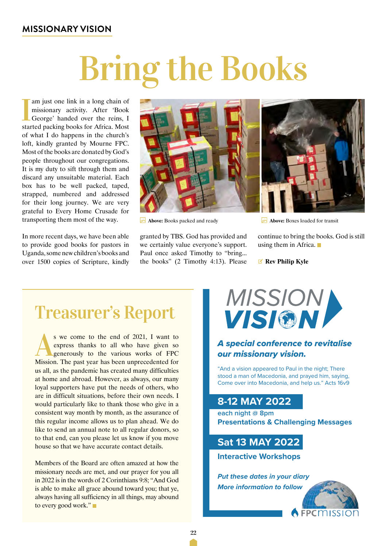### **Missionary Vision**

# Bring the Books

<sup>I</sup> am just one link in a long chain of missionary activity. After 'Book George' handed over the reins, I started packing books for Africa. Most of what I do happens in the church's loft, kindly granted by Mourne FPC. Most of the books are donated by God's people throughout our congregations. It is my duty to sift through them and discard any unsuitable material. Each box has to be well packed, taped, strapped, numbered and addressed for their long journey. We are very grateful to Every Home Crusade for transporting them most of the way.

In more recent days, we have been able to provide good books for pastors in Uganda, some new children's books and over 1500 copies of Scripture, kindly



**Above:** Books packed and ready

granted by TBS. God has provided and we certainly value everyone's support. Paul once asked Timothy to "bring... the books" (2 Timothy 4:13). Please



**Above:** Boxes loaded for transit

continue to bring the books. God is still using them in Africa.

V **Rev Philip Kyle**

### Treasurer's Report

s we come to the end of 2021, I want to express thanks to all who have given so generously to the various works of FPC express thanks to all who have given so generously to the various works of FPC Mission. The past year has been unprecedented for us all, as the pandemic has created many difficulties at home and abroad. However, as always, our many loyal supporters have put the needs of others, who are in difficult situations, before their own needs. I would particularly like to thank those who give in a consistent way month by month, as the assurance of this regular income allows us to plan ahead. We do like to send an annual note to all regular donors, so to that end, can you please let us know if you move house so that we have accurate contact details.

Members of the Board are often amazed at how the missionary needs are met, and our prayer for you all in 2022 is in the words of 2 Corinthians 9:8; "And God is able to make all grace abound toward you; that ye, always having all sufficiency in all things, may abound to every good work."



### A special conference to revitalise our missionary vision.

"And a vision appeared to Paul in the night; There stood a man of Macedonia, and prayed him, saying, Come over into Macedonia, and help us." Acts 16v9

### **8-12 MAY 2022**

**each night @ 8pm Presentations & Challenging Messages**

### **Sat 13 MAY 2022**

**Interactive Workshops**

**Put these dates in your diary More information to follow**